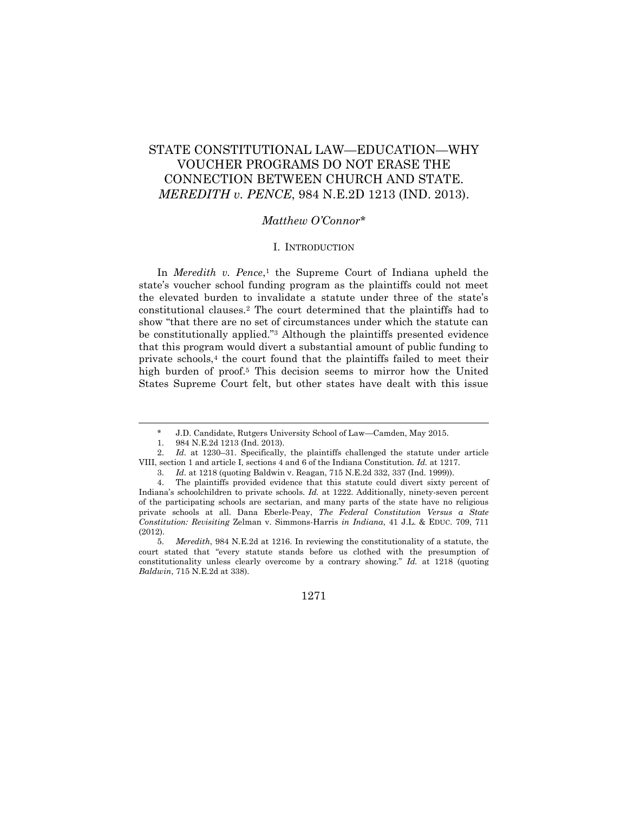# STATE CONSTITUTIONAL LAW—EDUCATION—WHY VOUCHER PROGRAMS DO NOT ERASE THE CONNECTION BETWEEN CHURCH AND STATE. *MEREDITH v. PENCE*, 984 N.E.2D 1213 (IND. 2013).

# *Matthew O'Connor*\*

#### I. INTRODUCTION

In *Meredith v. Pence*,<sup>1</sup> the Supreme Court of Indiana upheld the state's voucher school funding program as the plaintiffs could not meet the elevated burden to invalidate a statute under three of the state's constitutional clauses.<sup>2</sup> The court determined that the plaintiffs had to show "that there are no set of circumstances under which the statute can be constitutionally applied."<sup>3</sup> Although the plaintiffs presented evidence that this program would divert a substantial amount of public funding to private schools, $4$  the court found that the plaintiffs failed to meet their high burden of proof.<sup>5</sup> This decision seems to mirror how the United States Supreme Court felt, but other states have dealt with this issue

<sup>5.</sup> *Meredith*, 984 N.E.2d at 1216. In reviewing the constitutionality of a statute, the court stated that "every statute stands before us clothed with the presumption of constitutionality unless clearly overcome by a contrary showing." *Id.* at 1218 (quoting *Baldwin*, 715 N.E.2d at 338).



<sup>\*</sup> J.D. Candidate, Rutgers University School of Law—Camden, May 2015.

<sup>1.</sup> 984 N.E.2d 1213 (Ind. 2013).

<sup>2.</sup> *Id.* at 1230–31. Specifically, the plaintiffs challenged the statute under article VIII, section 1 and article I, sections 4 and 6 of the Indiana Constitution. *Id.* at 1217.

<sup>3.</sup> *Id.* at 1218 (quoting Baldwin v. Reagan, 715 N.E.2d 332, 337 (Ind. 1999)).

<sup>4.</sup> The plaintiffs provided evidence that this statute could divert sixty percent of Indiana's schoolchildren to private schools. *Id.* at 1222. Additionally, ninety-seven percent of the participating schools are sectarian, and many parts of the state have no religious private schools at all. Dana Eberle-Peay, *The Federal Constitution Versus a State Constitution: Revisiting* Zelman v. Simmons-Harris *in Indiana*, 41 J.L. & EDUC. 709, 711 (2012).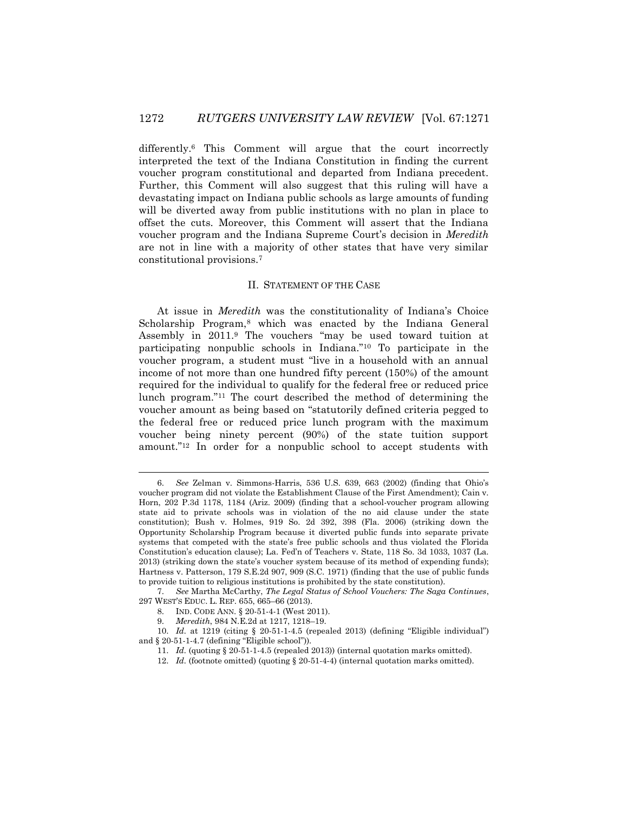differently.<sup>6</sup> This Comment will argue that the court incorrectly interpreted the text of the Indiana Constitution in finding the current voucher program constitutional and departed from Indiana precedent. Further, this Comment will also suggest that this ruling will have a devastating impact on Indiana public schools as large amounts of funding will be diverted away from public institutions with no plan in place to offset the cuts. Moreover, this Comment will assert that the Indiana voucher program and the Indiana Supreme Court's decision in *Meredith* are not in line with a majority of other states that have very similar constitutional provisions.<sup>7</sup>

#### II. STATEMENT OF THE CASE

At issue in *Meredith* was the constitutionality of Indiana's Choice Scholarship Program,<sup>8</sup> which was enacted by the Indiana General Assembly in 2011.<sup>9</sup> The vouchers "may be used toward tuition at participating nonpublic schools in Indiana."<sup>10</sup> To participate in the voucher program, a student must "live in a household with an annual income of not more than one hundred fifty percent (150%) of the amount required for the individual to qualify for the federal free or reduced price lunch program."<sup>11</sup> The court described the method of determining the voucher amount as being based on "statutorily defined criteria pegged to the federal free or reduced price lunch program with the maximum voucher being ninety percent (90%) of the state tuition support amount."<sup>12</sup> In order for a nonpublic school to accept students with

<sup>6.</sup> *See* Zelman v. Simmons-Harris, 536 U.S. 639, 663 (2002) (finding that Ohio's voucher program did not violate the Establishment Clause of the First Amendment); Cain v. Horn, 202 P.3d 1178, 1184 (Ariz. 2009) (finding that a school-voucher program allowing state aid to private schools was in violation of the no aid clause under the state constitution); Bush v. Holmes, 919 So. 2d 392, 398 (Fla. 2006) (striking down the Opportunity Scholarship Program because it diverted public funds into separate private systems that competed with the state's free public schools and thus violated the Florida Constitution's education clause); La. Fed'n of Teachers v. State, 118 So. 3d 1033, 1037 (La. 2013) (striking down the state's voucher system because of its method of expending funds); Hartness v. Patterson, 179 S.E.2d 907, 909 (S.C. 1971) (finding that the use of public funds to provide tuition to religious institutions is prohibited by the state constitution).

<sup>7.</sup> *See* Martha McCarthy, *The Legal Status of School Vouchers: The Saga Continues*, 297 WEST'S EDUC. L. REP. 655, 665–66 (2013).

<sup>8.</sup> IND. CODE ANN. § 20-51-4-1 (West 2011).

<sup>9.</sup> *Meredith*, 984 N.E.2d at 1217, 1218–19.

<sup>10.</sup> *Id.* at 1219 (citing § 20-51-1-4.5 (repealed 2013) (defining "Eligible individual") and § 20-51-1-4.7 (defining "Eligible school")).

<sup>11.</sup> *Id.* (quoting § 20-51-1-4.5 (repealed 2013)) (internal quotation marks omitted).

<sup>12.</sup> *Id.* (footnote omitted) (quoting § 20-51-4-4) (internal quotation marks omitted).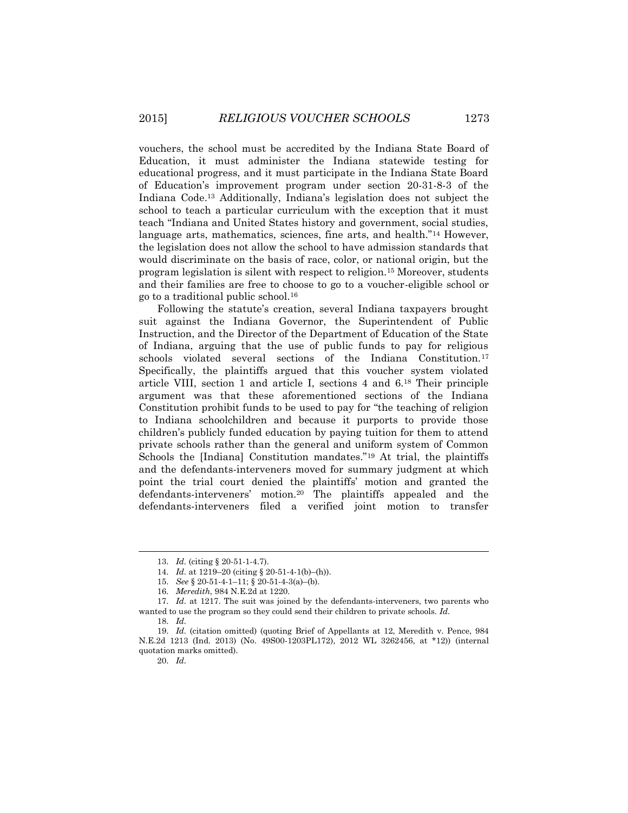vouchers, the school must be accredited by the Indiana State Board of Education, it must administer the Indiana statewide testing for educational progress, and it must participate in the Indiana State Board of Education's improvement program under section 20-31-8-3 of the Indiana Code. <sup>13</sup> Additionally, Indiana's legislation does not subject the school to teach a particular curriculum with the exception that it must teach "Indiana and United States history and government, social studies, language arts, mathematics, sciences, fine arts, and health."<sup>14</sup> However, the legislation does not allow the school to have admission standards that would discriminate on the basis of race, color, or national origin, but the program legislation is silent with respect to religion.<sup>15</sup> Moreover, students and their families are free to choose to go to a voucher-eligible school or go to a traditional public school.<sup>16</sup>

Following the statute's creation, several Indiana taxpayers brought suit against the Indiana Governor, the Superintendent of Public Instruction, and the Director of the Department of Education of the State of Indiana, arguing that the use of public funds to pay for religious schools violated several sections of the Indiana Constitution.<sup>17</sup> Specifically, the plaintiffs argued that this voucher system violated article VIII, section 1 and article I, sections 4 and 6.<sup>18</sup> Their principle argument was that these aforementioned sections of the Indiana Constitution prohibit funds to be used to pay for "the teaching of religion to Indiana schoolchildren and because it purports to provide those children's publicly funded education by paying tuition for them to attend private schools rather than the general and uniform system of Common Schools the [Indiana] Constitution mandates."<sup>19</sup> At trial, the plaintiffs and the defendants-interveners moved for summary judgment at which point the trial court denied the plaintiffs' motion and granted the defendants-interveners' motion.<sup>20</sup> The plaintiffs appealed and the defendants-interveners filed a verified joint motion to transfer

<sup>13.</sup> *Id.* (citing § 20-51-1-4.7).

<sup>14.</sup> *Id.* at 1219–20 (citing § 20-51-4-1(b)–(h)).

<sup>15.</sup> *See* § 20-51-4-1–11; § 20-51-4-3(a)–(b).

<sup>16.</sup> *Meredith*, 984 N.E.2d at 1220.

<sup>17.</sup> *Id.* at 1217. The suit was joined by the defendants-interveners, two parents who wanted to use the program so they could send their children to private schools. *Id.*

<sup>18.</sup> *Id.*

<sup>19.</sup> *Id.* (citation omitted) (quoting Brief of Appellants at 12, Meredith v. Pence, 984 N.E.2d 1213 (Ind. 2013) (No. 49S00-1203PL172), 2012 WL 3262456, at \*12)) (internal quotation marks omitted).

<sup>20.</sup> *Id.*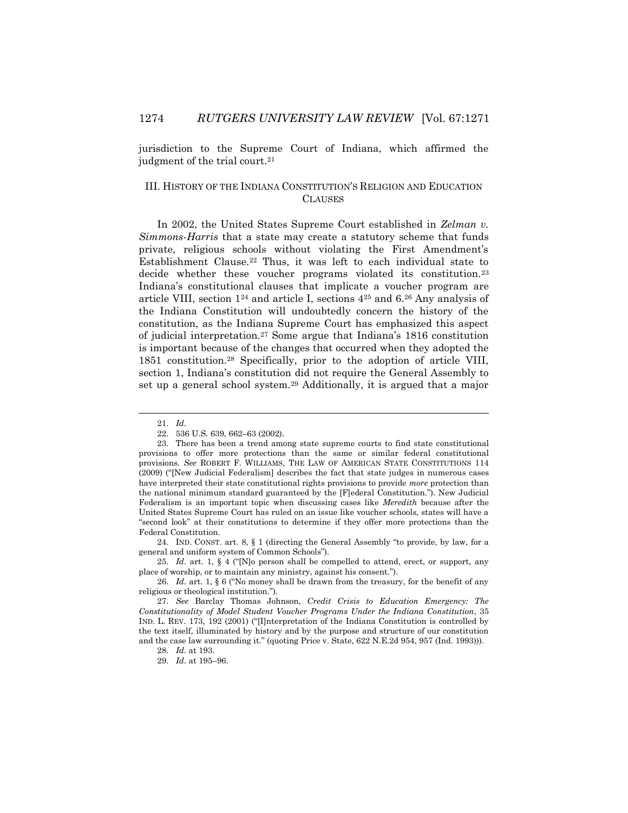jurisdiction to the Supreme Court of Indiana, which affirmed the judgment of the trial court.<sup>21</sup>

## III. HISTORY OF THE INDIANA CONSTITUTION'S RELIGION AND EDUCATION CLAUSES

In 2002, the United States Supreme Court established in *Zelman v. Simmons-Harris* that a state may create a statutory scheme that funds private, religious schools without violating the First Amendment's Establishment Clause.<sup>22</sup> Thus, it was left to each individual state to decide whether these voucher programs violated its constitution.<sup>23</sup> Indiana's constitutional clauses that implicate a voucher program are article VIII, section 1<sup>24</sup> and article I, sections 4<sup>25</sup> and 6.<sup>26</sup> Any analysis of the Indiana Constitution will undoubtedly concern the history of the constitution, as the Indiana Supreme Court has emphasized this aspect of judicial interpretation.<sup>27</sup> Some argue that Indiana's 1816 constitution is important because of the changes that occurred when they adopted the 1851 constitution.<sup>28</sup> Specifically, prior to the adoption of article VIII, section 1, Indiana's constitution did not require the General Assembly to set up a general school system.<sup>29</sup> Additionally, it is argued that a major

<sup>21.</sup> *Id.*

<sup>22.</sup> 536 U.S. 639, 662–63 (2002).

<sup>23.</sup> There has been a trend among state supreme courts to find state constitutional provisions to offer more protections than the same or similar federal constitutional provisions. *See* ROBERT F. WILLIAMS, THE LAW OF AMERICAN STATE CONSTITUTIONS 114 (2009) ("[New Judicial Federalism] describes the fact that state judges in numerous cases have interpreted their state constitutional rights provisions to provide *more* protection than the national minimum standard guaranteed by the [F]ederal Constitution."). New Judicial Federalism is an important topic when discussing cases like *Meredith* because after the United States Supreme Court has ruled on an issue like voucher schools, states will have a "second look" at their constitutions to determine if they offer more protections than the Federal Constitution.

<sup>24.</sup> IND. CONST. art. 8, § 1 (directing the General Assembly "to provide, by law, for a general and uniform system of Common Schools").

<sup>25.</sup> *Id.* art. 1, § 4 ("[N]o person shall be compelled to attend, erect, or support, any place of worship, or to maintain any ministry, against his consent.").

<sup>26.</sup> *Id.* art. 1, § 6 ("No money shall be drawn from the treasury, for the benefit of any religious or theological institution.").

<sup>27.</sup> *See* Barclay Thomas Johnson, *Credit Crisis to Education Emergency: The Constitutionality of Model Student Voucher Programs Under the Indiana Constitution*, 35 IND. L. REV. 173, 192 (2001) ("[I]nterpretation of the Indiana Constitution is controlled by the text itself, illuminated by history and by the purpose and structure of our constitution and the case law surrounding it." (quoting Price v. State, 622 N.E.2d 954, 957 (Ind. 1993))).

<sup>28.</sup> *Id.* at 193.

<sup>29.</sup> *Id.* at 195–96.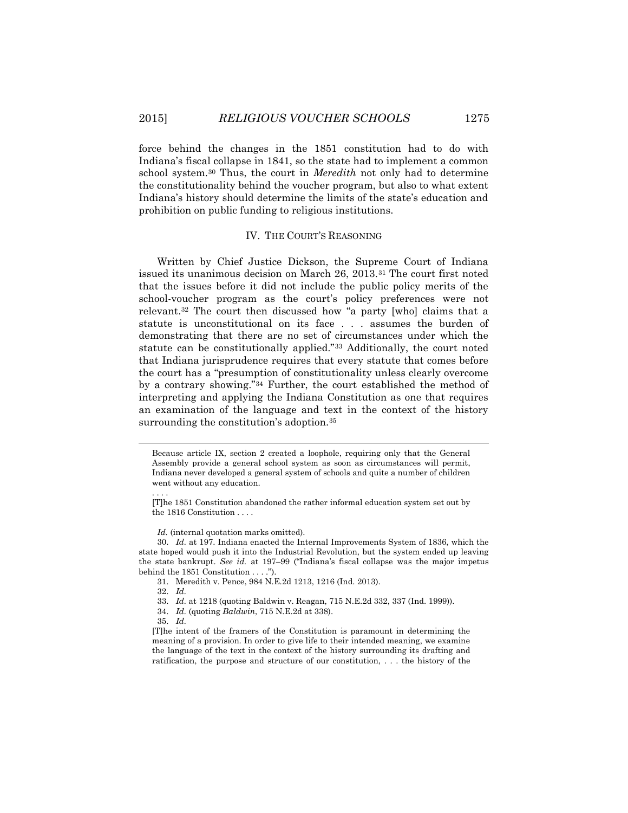force behind the changes in the 1851 constitution had to do with Indiana's fiscal collapse in 1841, so the state had to implement a common school system.<sup>30</sup> Thus, the court in *Meredith* not only had to determine the constitutionality behind the voucher program, but also to what extent Indiana's history should determine the limits of the state's education and prohibition on public funding to religious institutions.

### IV. THE COURT'S REASONING

Written by Chief Justice Dickson, the Supreme Court of Indiana issued its unanimous decision on March 26, 2013.<sup>31</sup> The court first noted that the issues before it did not include the public policy merits of the school-voucher program as the court's policy preferences were not relevant.<sup>32</sup> The court then discussed how "a party [who] claims that a statute is unconstitutional on its face . . . assumes the burden of demonstrating that there are no set of circumstances under which the statute can be constitutionally applied."<sup>33</sup> Additionally, the court noted that Indiana jurisprudence requires that every statute that comes before the court has a "presumption of constitutionality unless clearly overcome by a contrary showing."<sup>34</sup> Further, the court established the method of interpreting and applying the Indiana Constitution as one that requires an examination of the language and text in the context of the history surrounding the constitution's adoption.<sup>35</sup>

Because article IX, section 2 created a loophole, requiring only that the General Assembly provide a general school system as soon as circumstances will permit, Indiana never developed a general system of schools and quite a number of children went without any education.

Id. (internal quotation marks omitted).

30. *Id.* at 197. Indiana enacted the Internal Improvements System of 1836, which the state hoped would push it into the Industrial Revolution, but the system ended up leaving the state bankrupt. *See id.* at 197–99 ("Indiana's fiscal collapse was the major impetus behind the 1851 Constitution . . . .").

31. Meredith v. Pence, 984 N.E.2d 1213, 1216 (Ind. 2013).

32. *Id.*

. . . .

 $\overline{a}$ 

34. *Id.* (quoting *Baldwin*, 715 N.E.2d at 338).

35. *Id.*

[T]he intent of the framers of the Constitution is paramount in determining the meaning of a provision. In order to give life to their intended meaning, we examine the language of the text in the context of the history surrounding its drafting and ratification, the purpose and structure of our constitution, . . . the history of the

<sup>[</sup>T]he 1851 Constitution abandoned the rather informal education system set out by the 1816 Constitution . . . .

<sup>33.</sup> *Id.* at 1218 (quoting Baldwin v. Reagan, 715 N.E.2d 332, 337 (Ind. 1999)).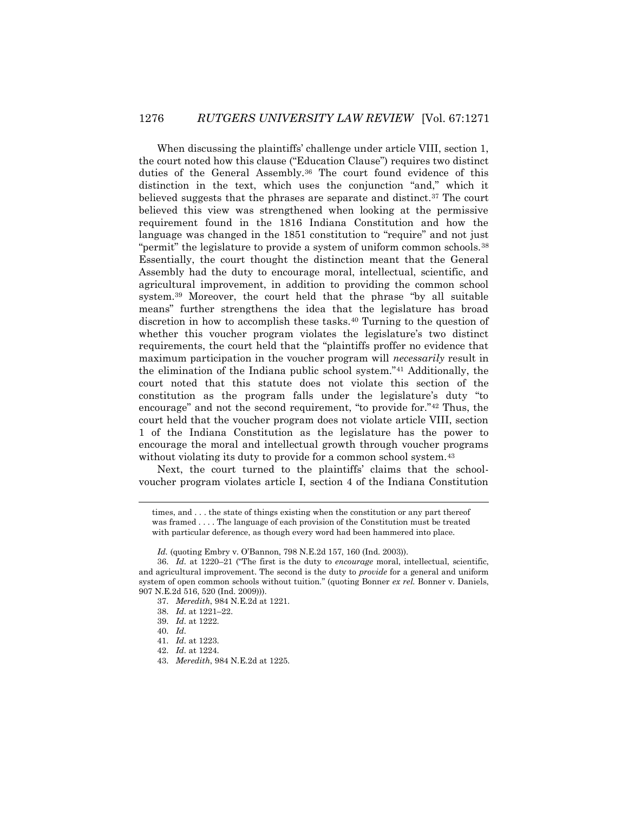When discussing the plaintiffs' challenge under article VIII, section 1, the court noted how this clause ("Education Clause") requires two distinct duties of the General Assembly.<sup>36</sup> The court found evidence of this distinction in the text, which uses the conjunction "and," which it believed suggests that the phrases are separate and distinct.<sup>37</sup> The court believed this view was strengthened when looking at the permissive requirement found in the 1816 Indiana Constitution and how the language was changed in the 1851 constitution to "require" and not just "permit" the legislature to provide a system of uniform common schools.<sup>38</sup> Essentially, the court thought the distinction meant that the General Assembly had the duty to encourage moral, intellectual, scientific, and agricultural improvement, in addition to providing the common school system.<sup>39</sup> Moreover, the court held that the phrase "by all suitable means" further strengthens the idea that the legislature has broad discretion in how to accomplish these tasks.<sup>40</sup> Turning to the question of whether this voucher program violates the legislature's two distinct requirements, the court held that the "plaintiffs proffer no evidence that maximum participation in the voucher program will *necessarily* result in the elimination of the Indiana public school system."<sup>41</sup> Additionally, the court noted that this statute does not violate this section of the constitution as the program falls under the legislature's duty "to encourage" and not the second requirement, "to provide for."<sup>42</sup> Thus, the court held that the voucher program does not violate article VIII, section 1 of the Indiana Constitution as the legislature has the power to encourage the moral and intellectual growth through voucher programs without violating its duty to provide for a common school system.<sup>43</sup>

Next, the court turned to the plaintiffs' claims that the schoolvoucher program violates article I, section 4 of the Indiana Constitution

times, and . . . the state of things existing when the constitution or any part thereof was framed . . . . The language of each provision of the Constitution must be treated with particular deference, as though every word had been hammered into place.

38. *Id.* at 1221–22.

40. *Id.*

- 42. *Id.* at 1224.
- 43. *Meredith*, 984 N.E.2d at 1225.

*Id.* (quoting Embry v. O'Bannon, 798 N.E.2d 157, 160 (Ind. 2003)).

<sup>36.</sup> *Id.* at 1220–21 ("The first is the duty to *encourage* moral, intellectual, scientific, and agricultural improvement. The second is the duty to *provide* for a general and uniform system of open common schools without tuition." (quoting Bonner *ex rel.* Bonner v. Daniels, 907 N.E.2d 516, 520 (Ind. 2009))).

<sup>37.</sup> *Meredith*, 984 N.E.2d at 1221.

<sup>39.</sup> *Id.* at 1222.

<sup>41.</sup> *Id.* at 1223.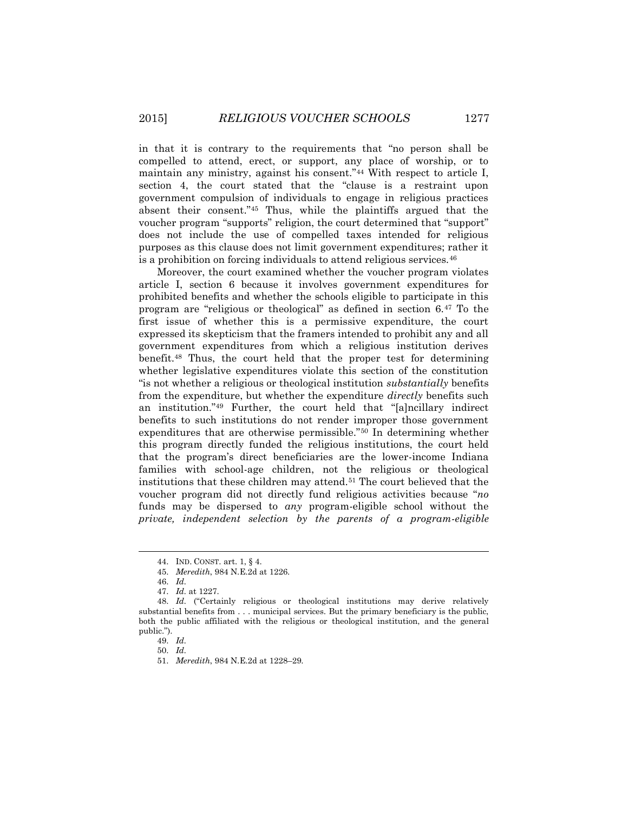in that it is contrary to the requirements that "no person shall be compelled to attend, erect, or support, any place of worship, or to maintain any ministry, against his consent."<sup>44</sup> With respect to article I, section 4, the court stated that the "clause is a restraint upon government compulsion of individuals to engage in religious practices absent their consent."<sup>45</sup> Thus, while the plaintiffs argued that the voucher program "supports" religion, the court determined that "support" does not include the use of compelled taxes intended for religious purposes as this clause does not limit government expenditures; rather it is a prohibition on forcing individuals to attend religious services.<sup>46</sup>

Moreover, the court examined whether the voucher program violates article I, section 6 because it involves government expenditures for prohibited benefits and whether the schools eligible to participate in this program are "religious or theological" as defined in section 6.<sup>47</sup> To the first issue of whether this is a permissive expenditure, the court expressed its skepticism that the framers intended to prohibit any and all government expenditures from which a religious institution derives benefit.<sup>48</sup> Thus, the court held that the proper test for determining whether legislative expenditures violate this section of the constitution "is not whether a religious or theological institution *substantially* benefits from the expenditure, but whether the expenditure *directly* benefits such an institution."<sup>49</sup> Further, the court held that "[a]ncillary indirect benefits to such institutions do not render improper those government expenditures that are otherwise permissible."<sup>50</sup> In determining whether this program directly funded the religious institutions, the court held that the program's direct beneficiaries are the lower-income Indiana families with school-age children, not the religious or theological institutions that these children may attend.<sup>51</sup> The court believed that the voucher program did not directly fund religious activities because "*no* funds may be dispersed to *any* program-eligible school without the *private, independent selection by the parents of a program-eligible* 

 $\overline{a}$ 

50. *Id.*

<sup>44.</sup> IND. CONST. art. 1, § 4.

<sup>45.</sup> *Meredith*, 984 N.E.2d at 1226.

<sup>46.</sup> *Id.*

<sup>47.</sup> *Id.* at 1227.

<sup>48.</sup> *Id.* ("Certainly religious or theological institutions may derive relatively substantial benefits from . . . municipal services. But the primary beneficiary is the public, both the public affiliated with the religious or theological institution, and the general public.").

<sup>49.</sup> *Id.*

<sup>51.</sup> *Meredith*, 984 N.E.2d at 1228–29.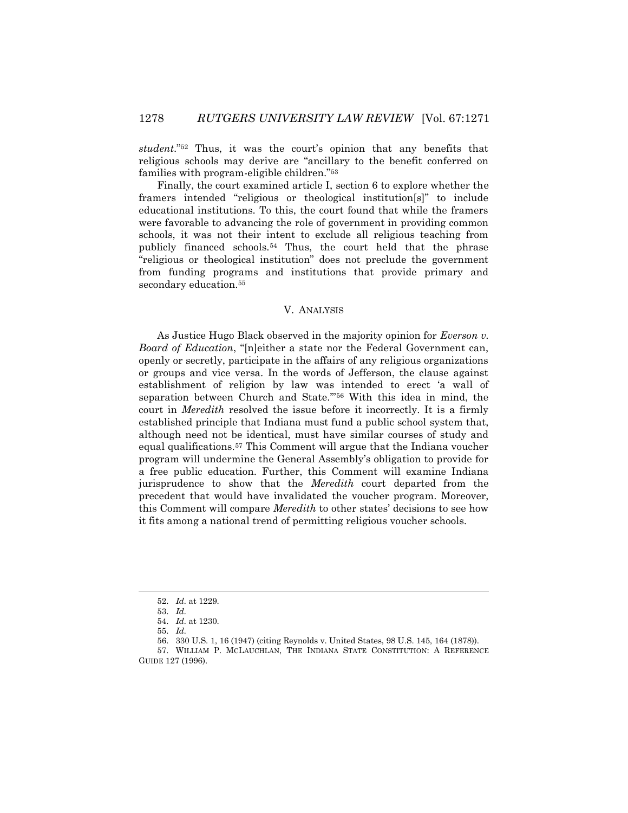*student*."<sup>52</sup> Thus, it was the court's opinion that any benefits that religious schools may derive are "ancillary to the benefit conferred on families with program-eligible children."<sup>53</sup>

Finally, the court examined article I, section 6 to explore whether the framers intended "religious or theological institution[s]" to include educational institutions. To this, the court found that while the framers were favorable to advancing the role of government in providing common schools, it was not their intent to exclude all religious teaching from publicly financed schools.<sup>54</sup> Thus, the court held that the phrase "religious or theological institution" does not preclude the government from funding programs and institutions that provide primary and secondary education.<sup>55</sup>

## V. ANALYSIS

As Justice Hugo Black observed in the majority opinion for *Everson v. Board of Education*, "[n]either a state nor the Federal Government can, openly or secretly, participate in the affairs of any religious organizations or groups and vice versa. In the words of Jefferson, the clause against establishment of religion by law was intended to erect 'a wall of separation between Church and State.'"<sup>56</sup> With this idea in mind, the court in *Meredith* resolved the issue before it incorrectly. It is a firmly established principle that Indiana must fund a public school system that, although need not be identical, must have similar courses of study and equal qualifications.<sup>57</sup> This Comment will argue that the Indiana voucher program will undermine the General Assembly's obligation to provide for a free public education. Further, this Comment will examine Indiana jurisprudence to show that the *Meredith* court departed from the precedent that would have invalidated the voucher program. Moreover, this Comment will compare *Meredith* to other states' decisions to see how it fits among a national trend of permitting religious voucher schools.

<sup>52.</sup> *Id.* at 1229.

<sup>53.</sup> *Id.*

<sup>54.</sup> *Id.* at 1230.

<sup>55.</sup> *Id.*

<sup>56.</sup> 330 U.S. 1, 16 (1947) (citing Reynolds v. United States, 98 U.S. 145, 164 (1878)).

<sup>57.</sup> WILLIAM P. MCLAUCHLAN, THE INDIANA STATE CONSTITUTION: A REFERENCE GUIDE 127 (1996).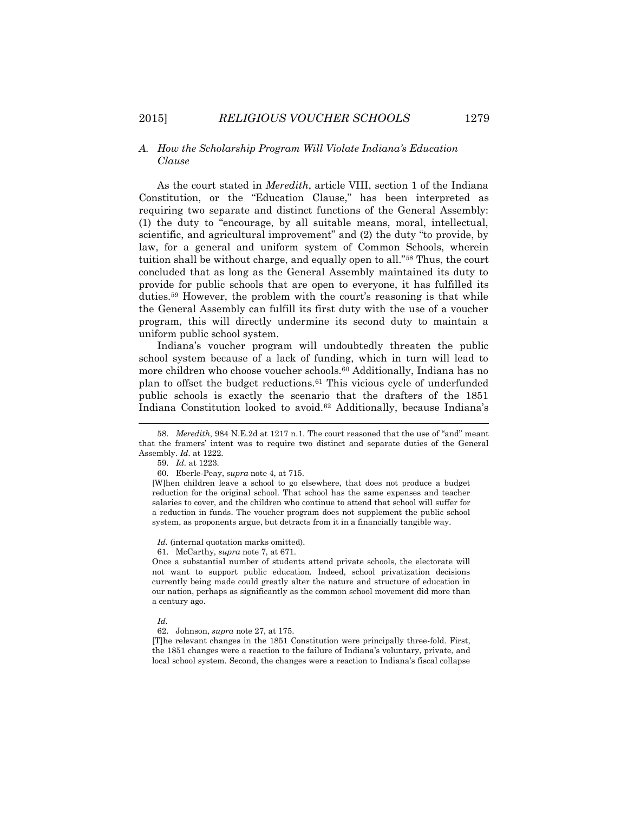## *A. How the Scholarship Program Will Violate Indiana's Education Clause*

As the court stated in *Meredith*, article VIII, section 1 of the Indiana Constitution, or the "Education Clause," has been interpreted as requiring two separate and distinct functions of the General Assembly: (1) the duty to "encourage, by all suitable means, moral, intellectual, scientific, and agricultural improvement" and (2) the duty "to provide, by law, for a general and uniform system of Common Schools, wherein tuition shall be without charge, and equally open to all."<sup>58</sup> Thus, the court concluded that as long as the General Assembly maintained its duty to provide for public schools that are open to everyone, it has fulfilled its duties.<sup>59</sup> However, the problem with the court's reasoning is that while the General Assembly can fulfill its first duty with the use of a voucher program, this will directly undermine its second duty to maintain a uniform public school system.

Indiana's voucher program will undoubtedly threaten the public school system because of a lack of funding, which in turn will lead to more children who choose voucher schools.<sup>60</sup> Additionally, Indiana has no plan to offset the budget reductions.<sup>61</sup> This vicious cycle of underfunded public schools is exactly the scenario that the drafters of the 1851 Indiana Constitution looked to avoid.<sup>62</sup> Additionally, because Indiana's

l

Once a substantial number of students attend private schools, the electorate will not want to support public education. Indeed, school privatization decisions currently being made could greatly alter the nature and structure of education in our nation, perhaps as significantly as the common school movement did more than a century ago.

[T]he relevant changes in the 1851 Constitution were principally three-fold. First, the 1851 changes were a reaction to the failure of Indiana's voluntary, private, and local school system. Second, the changes were a reaction to Indiana's fiscal collapse

<sup>58.</sup> *Meredith*, 984 N.E.2d at 1217 n.1. The court reasoned that the use of "and" meant that the framers' intent was to require two distinct and separate duties of the General Assembly. *Id.* at 1222.

<sup>59.</sup> *Id.* at 1223.

<sup>60.</sup> Eberle-Peay, *supra* note 4, at 715.

<sup>[</sup>W]hen children leave a school to go elsewhere, that does not produce a budget reduction for the original school. That school has the same expenses and teacher salaries to cover, and the children who continue to attend that school will suffer for a reduction in funds. The voucher program does not supplement the public school system, as proponents argue, but detracts from it in a financially tangible way.

Id. (internal quotation marks omitted).

<sup>61.</sup> McCarthy, *supra* note 7, at 671.

*Id.*

<sup>62.</sup> Johnson, *supra* note 27, at 175.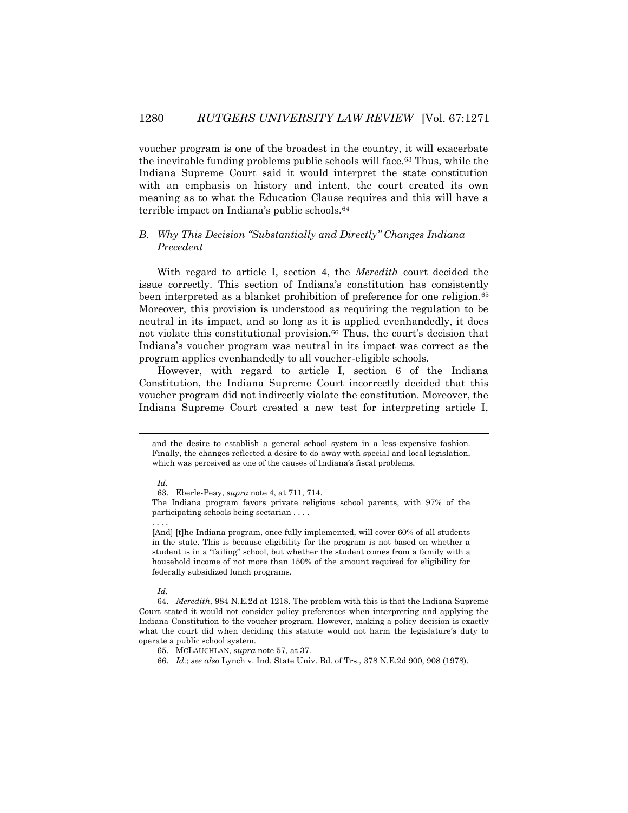voucher program is one of the broadest in the country, it will exacerbate the inevitable funding problems public schools will face.<sup>63</sup> Thus, while the Indiana Supreme Court said it would interpret the state constitution with an emphasis on history and intent, the court created its own meaning as to what the Education Clause requires and this will have a terrible impact on Indiana's public schools.<sup>64</sup>

# *B. Why This Decision "Substantially and Directly" Changes Indiana Precedent*

With regard to article I, section 4, the *Meredith* court decided the issue correctly. This section of Indiana's constitution has consistently been interpreted as a blanket prohibition of preference for one religion.<sup>65</sup> Moreover, this provision is understood as requiring the regulation to be neutral in its impact, and so long as it is applied evenhandedly, it does not violate this constitutional provision.<sup>66</sup> Thus, the court's decision that Indiana's voucher program was neutral in its impact was correct as the program applies evenhandedly to all voucher-eligible schools.

However, with regard to article I, section 6 of the Indiana Constitution, the Indiana Supreme Court incorrectly decided that this voucher program did not indirectly violate the constitution. Moreover, the Indiana Supreme Court created a new test for interpreting article I,

 $\overline{a}$ 

*Id.*

and the desire to establish a general school system in a less-expensive fashion. Finally, the changes reflected a desire to do away with special and local legislation, which was perceived as one of the causes of Indiana's fiscal problems.

*Id.*

<sup>63.</sup> Eberle-Peay, *supra* note 4, at 711, 714.

The Indiana program favors private religious school parents, with 97% of the participating schools being sectarian . . . . . . . .

<sup>[</sup>And] [t]he Indiana program, once fully implemented, will cover 60% of all students in the state. This is because eligibility for the program is not based on whether a student is in a "failing" school, but whether the student comes from a family with a household income of not more than 150% of the amount required for eligibility for federally subsidized lunch programs.

<sup>64.</sup> *Meredith*, 984 N.E.2d at 1218. The problem with this is that the Indiana Supreme Court stated it would not consider policy preferences when interpreting and applying the Indiana Constitution to the voucher program. However, making a policy decision is exactly what the court did when deciding this statute would not harm the legislature's duty to operate a public school system.

<sup>65.</sup> MCLAUCHLAN, *supra* note 57, at 37.

<sup>66.</sup> *Id.*; *see also* Lynch v. Ind. State Univ. Bd. of Trs., 378 N.E.2d 900, 908 (1978).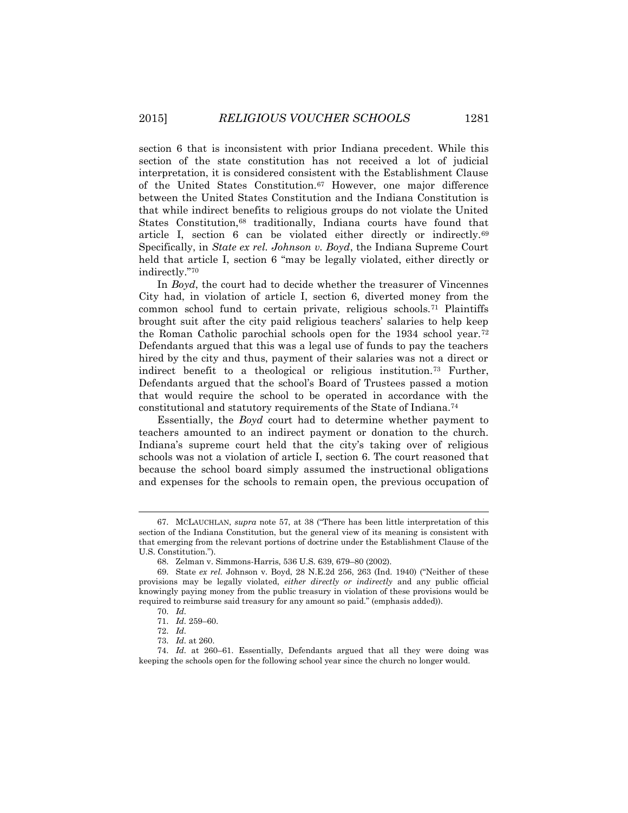section 6 that is inconsistent with prior Indiana precedent. While this section of the state constitution has not received a lot of judicial interpretation, it is considered consistent with the Establishment Clause of the United States Constitution.<sup>67</sup> However, one major difference between the United States Constitution and the Indiana Constitution is that while indirect benefits to religious groups do not violate the United States Constitution,<sup>68</sup> traditionally, Indiana courts have found that article I, section 6 can be violated either directly or indirectly.<sup>69</sup> Specifically, in *State ex rel. Johnson v. Boyd*, the Indiana Supreme Court held that article I, section 6 "may be legally violated, either directly or indirectly."<sup>70</sup>

In *Boyd*, the court had to decide whether the treasurer of Vincennes City had, in violation of article I, section 6, diverted money from the common school fund to certain private, religious schools.<sup>71</sup> Plaintiffs brought suit after the city paid religious teachers' salaries to help keep the Roman Catholic parochial schools open for the 1934 school year.<sup>72</sup> Defendants argued that this was a legal use of funds to pay the teachers hired by the city and thus, payment of their salaries was not a direct or indirect benefit to a theological or religious institution.<sup>73</sup> Further, Defendants argued that the school's Board of Trustees passed a motion that would require the school to be operated in accordance with the constitutional and statutory requirements of the State of Indiana.<sup>74</sup>

Essentially, the *Boyd* court had to determine whether payment to teachers amounted to an indirect payment or donation to the church. Indiana's supreme court held that the city's taking over of religious schools was not a violation of article I, section 6. The court reasoned that because the school board simply assumed the instructional obligations and expenses for the schools to remain open, the previous occupation of

<sup>67.</sup> MCLAUCHLAN, *supra* note 57, at 38 ("There has been little interpretation of this section of the Indiana Constitution, but the general view of its meaning is consistent with that emerging from the relevant portions of doctrine under the Establishment Clause of the U.S. Constitution.").

<sup>68.</sup> Zelman v. Simmons-Harris, 536 U.S. 639, 679–80 (2002).

<sup>69.</sup> State *ex rel.* Johnson v. Boyd, 28 N.E.2d 256, 263 (Ind. 1940) ("Neither of these provisions may be legally violated, *either directly or indirectly* and any public official knowingly paying money from the public treasury in violation of these provisions would be required to reimburse said treasury for any amount so paid." (emphasis added)).

<sup>70.</sup> *Id.* 71. *Id.* 259–60.

<sup>72.</sup> *Id.*

<sup>73.</sup> *Id.* at 260.

<sup>74.</sup> *Id.* at 260–61. Essentially, Defendants argued that all they were doing was keeping the schools open for the following school year since the church no longer would.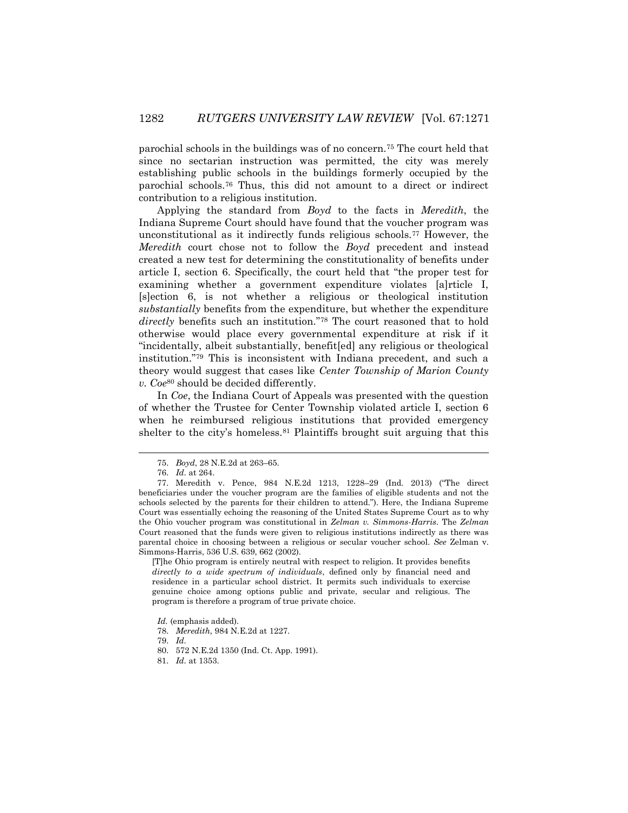parochial schools in the buildings was of no concern.<sup>75</sup> The court held that since no sectarian instruction was permitted, the city was merely establishing public schools in the buildings formerly occupied by the parochial schools.<sup>76</sup> Thus, this did not amount to a direct or indirect contribution to a religious institution.

Applying the standard from *Boyd* to the facts in *Meredith*, the Indiana Supreme Court should have found that the voucher program was unconstitutional as it indirectly funds religious schools.<sup>77</sup> However, the *Meredith* court chose not to follow the *Boyd* precedent and instead created a new test for determining the constitutionality of benefits under article I, section 6. Specifically, the court held that "the proper test for examining whether a government expenditure violates [a]rticle I, [s]ection 6, is not whether a religious or theological institution *substantially* benefits from the expenditure, but whether the expenditure *directly* benefits such an institution."<sup>78</sup> The court reasoned that to hold otherwise would place every governmental expenditure at risk if it "incidentally, albeit substantially, benefit[ed] any religious or theological institution."<sup>79</sup> This is inconsistent with Indiana precedent, and such a theory would suggest that cases like *Center Township of Marion County v. Coe*<sup>80</sup> should be decided differently.

In *Coe*, the Indiana Court of Appeals was presented with the question of whether the Trustee for Center Township violated article I, section 6 when he reimbursed religious institutions that provided emergency shelter to the city's homeless.<sup>81</sup> Plaintiffs brought suit arguing that this

l

[T]he Ohio program is entirely neutral with respect to religion. It provides benefits *directly to a wide spectrum of individuals*, defined only by financial need and residence in a particular school district. It permits such individuals to exercise genuine choice among options public and private, secular and religious. The program is therefore a program of true private choice.

<sup>75.</sup> *Boyd*, 28 N.E.2d at 263–65.

<sup>76.</sup> *Id.* at 264.

<sup>77.</sup> Meredith v. Pence, 984 N.E.2d 1213, 1228–29 (Ind. 2013) ("The direct beneficiaries under the voucher program are the families of eligible students and not the schools selected by the parents for their children to attend."). Here, the Indiana Supreme Court was essentially echoing the reasoning of the United States Supreme Court as to why the Ohio voucher program was constitutional in *Zelman v. Simmons-Harris*. The *Zelman* Court reasoned that the funds were given to religious institutions indirectly as there was parental choice in choosing between a religious or secular voucher school. *See* Zelman v. Simmons-Harris, 536 U.S. 639, 662 (2002).

*Id.* (emphasis added).

<sup>78.</sup> *Meredith*, 984 N.E.2d at 1227.

<sup>79.</sup> *Id.*

<sup>80.</sup> 572 N.E.2d 1350 (Ind. Ct. App. 1991).

<sup>81.</sup> *Id.* at 1353.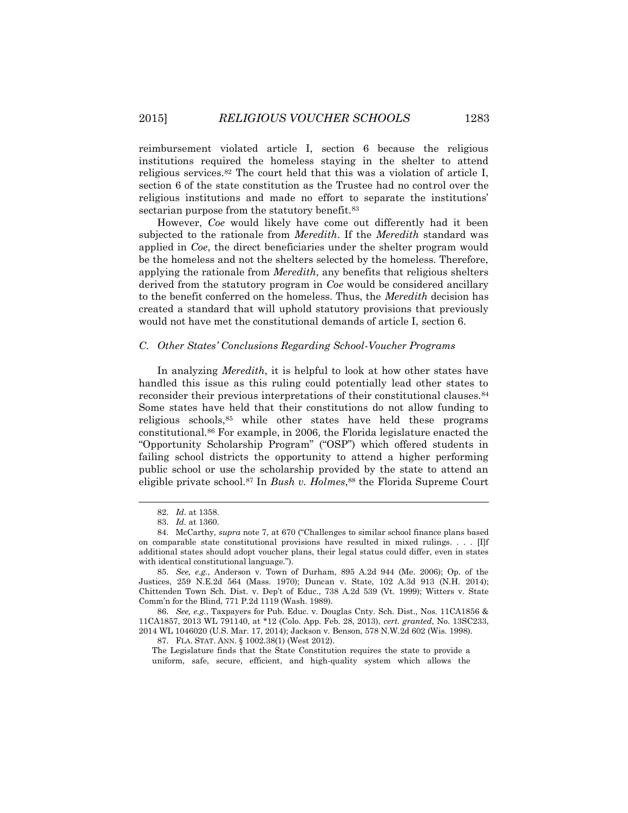reimbursement violated article I, section 6 because the religious institutions required the homeless staying in the shelter to attend religious services.<sup>82</sup> The court held that this was a violation of article I, section 6 of the state constitution as the Trustee had no control over the religious institutions and made no effort to separate the institutions' sectarian purpose from the statutory benefit.<sup>83</sup>

However, *Coe* would likely have come out differently had it been subjected to the rationale from *Meredith*. If the *Meredith* standard was applied in *Coe*, the direct beneficiaries under the shelter program would be the homeless and not the shelters selected by the homeless. Therefore, applying the rationale from *Meredith*, any benefits that religious shelters derived from the statutory program in *Coe* would be considered ancillary to the benefit conferred on the homeless. Thus, the *Meredith* decision has created a standard that will uphold statutory provisions that previously would not have met the constitutional demands of article I, section 6.

#### *C. Other States' Conclusions Regarding School-Voucher Programs*

In analyzing *Meredith*, it is helpful to look at how other states have handled this issue as this ruling could potentially lead other states to reconsider their previous interpretations of their constitutional clauses.<sup>84</sup> Some states have held that their constitutions do not allow funding to religious schools,<sup>85</sup> while other states have held these programs constitutional.<sup>86</sup> For example, in 2006, the Florida legislature enacted the "Opportunity Scholarship Program" ("OSP") which offered students in failing school districts the opportunity to attend a higher performing public school or use the scholarship provided by the state to attend an eligible private school.<sup>87</sup> In *Bush v. Holmes*, <sup>88</sup> the Florida Supreme Court

 $\overline{a}$ 

The Legislature finds that the State Constitution requires the state to provide a uniform, safe, secure, efficient, and high-quality system which allows the

<sup>82.</sup> *Id.* at 1358.

<sup>83.</sup> *Id.* at 1360.

<sup>84.</sup> McCarthy, *supra* note 7, at 670 ("Challenges to similar school finance plans based on comparable state constitutional provisions have resulted in mixed rulings. . . . [I]f additional states should adopt voucher plans, their legal status could differ, even in states with identical constitutional language.").

<sup>85.</sup> *See, e.g.*, Anderson v. Town of Durham, 895 A.2d 944 (Me. 2006); Op. of the Justices, 259 N.E.2d 564 (Mass. 1970); Duncan v. State, 102 A.3d 913 (N.H. 2014); Chittenden Town Sch. Dist. v. Dep't of Educ., 738 A.2d 539 (Vt. 1999); Witters v. State Comm'n for the Blind, 771 P.2d 1119 (Wash. 1989).

<sup>86.</sup> *See, e.g.*, Taxpayers for Pub. Educ. v. Douglas Cnty. Sch. Dist., Nos. 11CA1856 & 11CA1857, 2013 WL 791140, at \*12 (Colo. App. Feb. 28, 2013), *cert. granted*, No. 13SC233, 2014 WL 1046020 (U.S. Mar. 17, 2014); Jackson v. Benson, 578 N.W.2d 602 (Wis. 1998).

<sup>87.</sup> FLA. STAT. ANN. § 1002.38(1) (West 2012).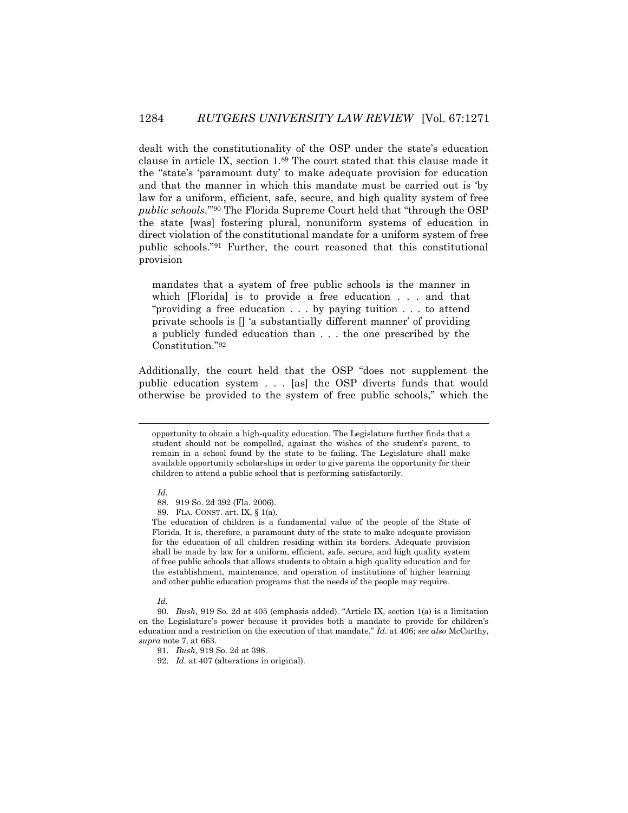dealt with the constitutionality of the OSP under the state's education clause in article IX, section 1.<sup>89</sup> The court stated that this clause made it the "state's 'paramount duty' to make adequate provision for education and that the manner in which this mandate must be carried out is 'by law for a uniform, efficient, safe, secure, and high quality system of free *public schools*.'" <sup>90</sup> The Florida Supreme Court held that "through the OSP the state [was] fostering plural, nonuniform systems of education in direct violation of the constitutional mandate for a uniform system of free public schools."<sup>91</sup> Further, the court reasoned that this constitutional provision

mandates that a system of free public schools is the manner in which [Florida] is to provide a free education . . . and that "providing a free education . . . by paying tuition . . . to attend private schools is [] 'a substantially different manner' of providing a publicly funded education than . . . the one prescribed by the Constitution." 92

Additionally, the court held that the OSP "does not supplement the public education system . . . [as] the OSP diverts funds that would otherwise be provided to the system of free public schools," which the

*Id.*

l

*Id.*

opportunity to obtain a high-quality education. The Legislature further finds that a student should not be compelled, against the wishes of the student's parent, to remain in a school found by the state to be failing. The Legislature shall make available opportunity scholarships in order to give parents the opportunity for their children to attend a public school that is performing satisfactorily.

<sup>88.</sup> 919 So. 2d 392 (Fla. 2006).

<sup>89.</sup> FLA. CONST. art. IX, § 1(a).

The education of children is a fundamental value of the people of the State of Florida. It is, therefore, a paramount duty of the state to make adequate provision for the education of all children residing within its borders. Adequate provision shall be made by law for a uniform, efficient, safe, secure, and high quality system of free public schools that allows students to obtain a high quality education and for the establishment, maintenance, and operation of institutions of higher learning and other public education programs that the needs of the people may require.

<sup>90.</sup> *Bush*, 919 So. 2d at 405 (emphasis added). "Article IX, section 1(a) is a limitation on the Legislature's power because it provides both a mandate to provide for children's education and a restriction on the execution of that mandate." *Id.* at 406; *see also* McCarthy, *supra* note 7, at 663.

<sup>91.</sup> *Bush*, 919 So. 2d at 398.

<sup>92.</sup> *Id.* at 407 (alterations in original).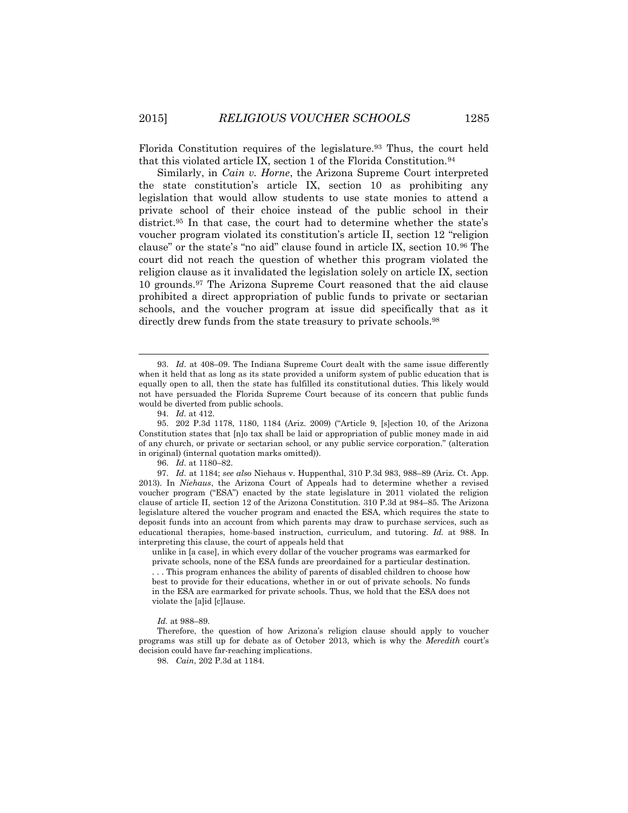Florida Constitution requires of the legislature.<sup>93</sup> Thus, the court held that this violated article IX, section 1 of the Florida Constitution.<sup>94</sup>

Similarly, in *Cain v. Horne*, the Arizona Supreme Court interpreted the state constitution's article IX, section 10 as prohibiting any legislation that would allow students to use state monies to attend a private school of their choice instead of the public school in their district.<sup>95</sup> In that case, the court had to determine whether the state's voucher program violated its constitution's article II, section 12 "religion clause" or the state's "no aid" clause found in article IX, section 10.<sup>96</sup> The court did not reach the question of whether this program violated the religion clause as it invalidated the legislation solely on article IX, section 10 grounds.<sup>97</sup> The Arizona Supreme Court reasoned that the aid clause prohibited a direct appropriation of public funds to private or sectarian schools, and the voucher program at issue did specifically that as it directly drew funds from the state treasury to private schools.<sup>98</sup>

96. *Id.* at 1180–82.

97. *Id.* at 1184; *see also* Niehaus v. Huppenthal, 310 P.3d 983, 988–89 (Ariz. Ct. App. 2013). In *Niehaus*, the Arizona Court of Appeals had to determine whether a revised voucher program ("ESA") enacted by the state legislature in 2011 violated the religion clause of article II, section 12 of the Arizona Constitution. 310 P.3d at 984–85. The Arizona legislature altered the voucher program and enacted the ESA, which requires the state to deposit funds into an account from which parents may draw to purchase services, such as educational therapies, home-based instruction, curriculum, and tutoring. *Id.* at 988. In interpreting this clause, the court of appeals held that

unlike in [a case], in which every dollar of the voucher programs was earmarked for private schools, none of the ESA funds are preordained for a particular destination. . . . This program enhances the ability of parents of disabled children to choose how best to provide for their educations, whether in or out of private schools. No funds in the ESA are earmarked for private schools. Thus, we hold that the ESA does not violate the [a]id [c]lause.

*Id.* at 988–89.

Therefore, the question of how Arizona's religion clause should apply to voucher programs was still up for debate as of October 2013, which is why the *Meredith* court's decision could have far-reaching implications.

98. *Cain*, 202 P.3d at 1184.

<sup>93.</sup> *Id.* at 408–09. The Indiana Supreme Court dealt with the same issue differently when it held that as long as its state provided a uniform system of public education that is equally open to all, then the state has fulfilled its constitutional duties. This likely would not have persuaded the Florida Supreme Court because of its concern that public funds would be diverted from public schools.

<sup>94.</sup> *Id.* at 412.

<sup>95.</sup> 202 P.3d 1178, 1180, 1184 (Ariz. 2009) ("Article 9, [s]ection 10, of the Arizona Constitution states that [n]o tax shall be laid or appropriation of public money made in aid of any church, or private or sectarian school, or any public service corporation." (alteration in original) (internal quotation marks omitted)).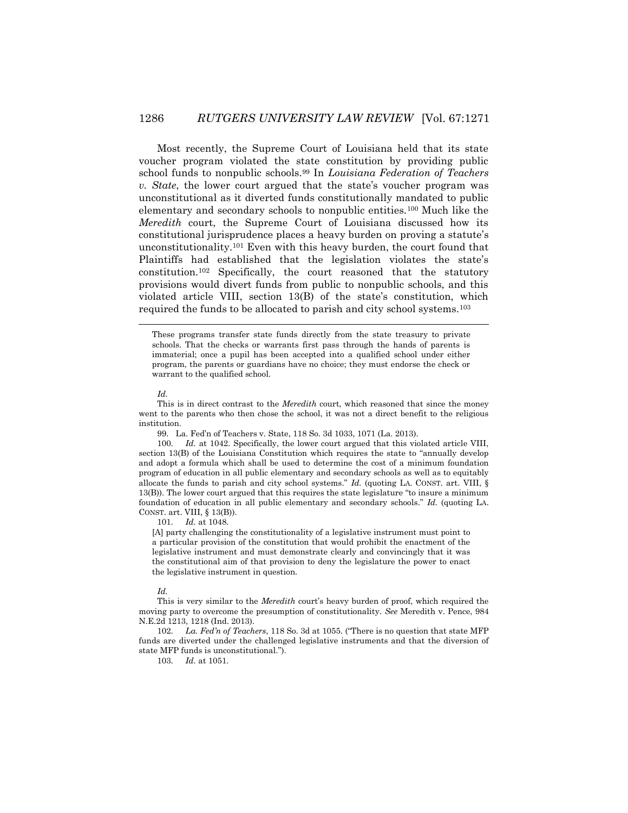Most recently, the Supreme Court of Louisiana held that its state voucher program violated the state constitution by providing public school funds to nonpublic schools.<sup>99</sup> In *Louisiana Federation of Teachers v. State*, the lower court argued that the state's voucher program was unconstitutional as it diverted funds constitutionally mandated to public elementary and secondary schools to nonpublic entities.<sup>100</sup> Much like the *Meredith* court, the Supreme Court of Louisiana discussed how its constitutional jurisprudence places a heavy burden on proving a statute's unconstitutionality.<sup>101</sup> Even with this heavy burden, the court found that Plaintiffs had established that the legislation violates the state's constitution.<sup>102</sup> Specifically, the court reasoned that the statutory provisions would divert funds from public to nonpublic schools, and this violated article VIII, section 13(B) of the state's constitution, which required the funds to be allocated to parish and city school systems.<sup>103</sup>

 $\overline{a}$ 

99. La. Fed'n of Teachers v. State, 118 So. 3d 1033, 1071 (La. 2013).

100. *Id.* at 1042. Specifically, the lower court argued that this violated article VIII, section 13(B) of the Louisiana Constitution which requires the state to "annually develop and adopt a formula which shall be used to determine the cost of a minimum foundation program of education in all public elementary and secondary schools as well as to equitably allocate the funds to parish and city school systems." *Id.* (quoting LA. CONST. art. VIII,  $\S$ [13\(B\)\).](https://a.next.westlaw.com/Link/Document/FullText?findType=L&pubNum=1000011&cite=LACOART8S13&originatingDoc=I3b210ed9b73811e28500bda794601919&refType=LQ&originationContext=document&transitionType=DocumentItem&contextData=(sc.UserEnteredCitation)) The lower court argued that this requires the state legislature "to insure a minimum foundation of education in all public elementary and secondary schools." *Id.* (quoting [L](https://a.next.westlaw.com/Link/Document/FullText?findType=L&pubNum=1000011&cite=LACOART8S13&originatingDoc=I3b210ed9b73811e28500bda794601919&refType=LQ&originationContext=document&transitionType=DocumentItem&contextData=(sc.UserEnteredCitation))A. CONST. [art. VIII, § 13\(B\)\)](https://a.next.westlaw.com/Link/Document/FullText?findType=L&pubNum=1000011&cite=LACOART8S13&originatingDoc=I3b210ed9b73811e28500bda794601919&refType=LQ&originationContext=document&transitionType=DocumentItem&contextData=(sc.UserEnteredCitation)).

101. *Id.* at 1048.

[A] party challenging the constitutionality of a legislative instrument must point to a particular provision of the constitution that would prohibit the enactment of the legislative instrument and must demonstrate clearly and convincingly that it was the constitutional aim of that provision to deny the legislature the power to enact the legislative instrument in question.

*Id.*

This is very similar to the *Meredith* court's heavy burden of proof, which required the moving party to overcome the presumption of constitutionality. *See* Meredith v. Pence, 984 N.E.2d 1213, 1218 (Ind. 2013).

102. *La. Fed'n of Teachers*, 118 So. 3d at 1055. ("There is no question that state MFP funds are diverted under the challenged legislative instruments and that the diversion of state MFP funds is unconstitutional.").

103. *Id.* at 1051.

These programs transfer state funds directly from the state treasury to private schools. That the checks or warrants first pass through the hands of parents is immaterial; once a pupil has been accepted into a qualified school under either program, the parents or guardians have no choice; they must endorse the check or warrant to the qualified school.

*Id.*

This is in direct contrast to the *Meredith* court, which reasoned that since the money went to the parents who then chose the school, it was not a direct benefit to the religious institution.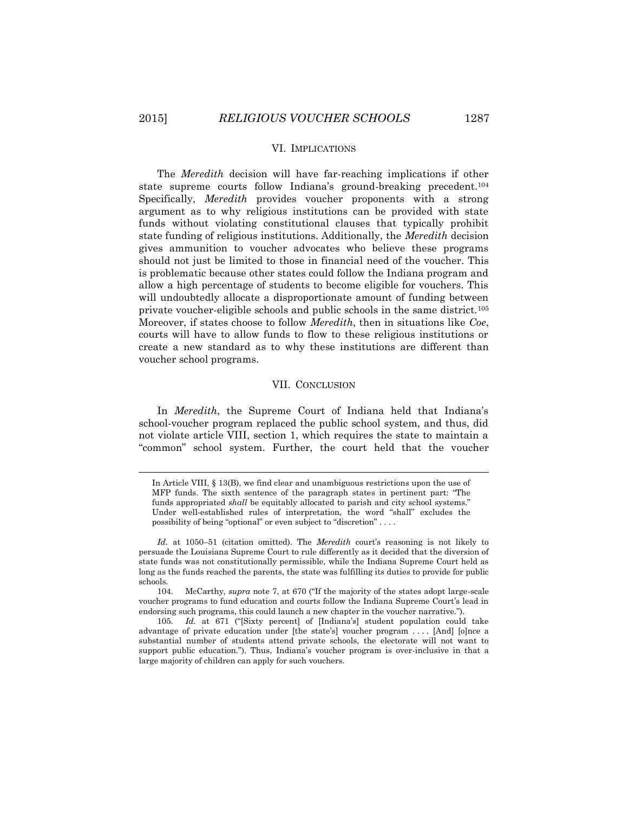#### VI. IMPLICATIONS

The *Meredith* decision will have far-reaching implications if other state supreme courts follow Indiana's ground-breaking precedent.<sup>104</sup> Specifically, *Meredith* provides voucher proponents with a strong argument as to why religious institutions can be provided with state funds without violating constitutional clauses that typically prohibit state funding of religious institutions. Additionally, the *Meredith* decision gives ammunition to voucher advocates who believe these programs should not just be limited to those in financial need of the voucher. This is problematic because other states could follow the Indiana program and allow a high percentage of students to become eligible for vouchers. This will undoubtedly allocate a disproportionate amount of funding between private voucher-eligible schools and public schools in the same district.<sup>105</sup> Moreover, if states choose to follow *Meredith*, then in situations like *Coe*, courts will have to allow funds to flow to these religious institutions or create a new standard as to why these institutions are different than voucher school programs.

#### VII. CONCLUSION

In *Meredith*, the Supreme Court of Indiana held that Indiana's school-voucher program replaced the public school system, and thus, did not violate article VIII, section 1, which requires the state to maintain a "common" school system. Further, the court held that the voucher

In Article VIII, § 13(B), we find clear and unambiguous restrictions upon the use of MFP funds. The sixth sentence of the paragraph states in pertinent part: "The funds appropriated *shall* be equitably allocated to parish and city school systems." Under well-established rules of interpretation, the word "shall" excludes the possibility of being "optional" or even subject to "discretion" . . . .

*Id.* at 1050–51 (citation omitted). The *Meredith* court's reasoning is not likely to persuade the Louisiana Supreme Court to rule differently as it decided that the diversion of state funds was not constitutionally permissible, while the Indiana Supreme Court held as long as the funds reached the parents, the state was fulfilling its duties to provide for public schools.

<sup>104.</sup> McCarthy, *supra* note 7, at 670 ("If the majority of the states adopt large-scale voucher programs to fund education and courts follow the Indiana Supreme Court's lead in endorsing such programs, this could launch a new chapter in the voucher narrative.").

<sup>105.</sup> *Id.* at 671 ("[Sixty percent] of [Indiana's] student population could take advantage of private education under [the state's] voucher program . . . . [And] [o]nce a substantial number of students attend private schools, the electorate will not want to support public education."). Thus, Indiana's voucher program is over-inclusive in that a large majority of children can apply for such vouchers.